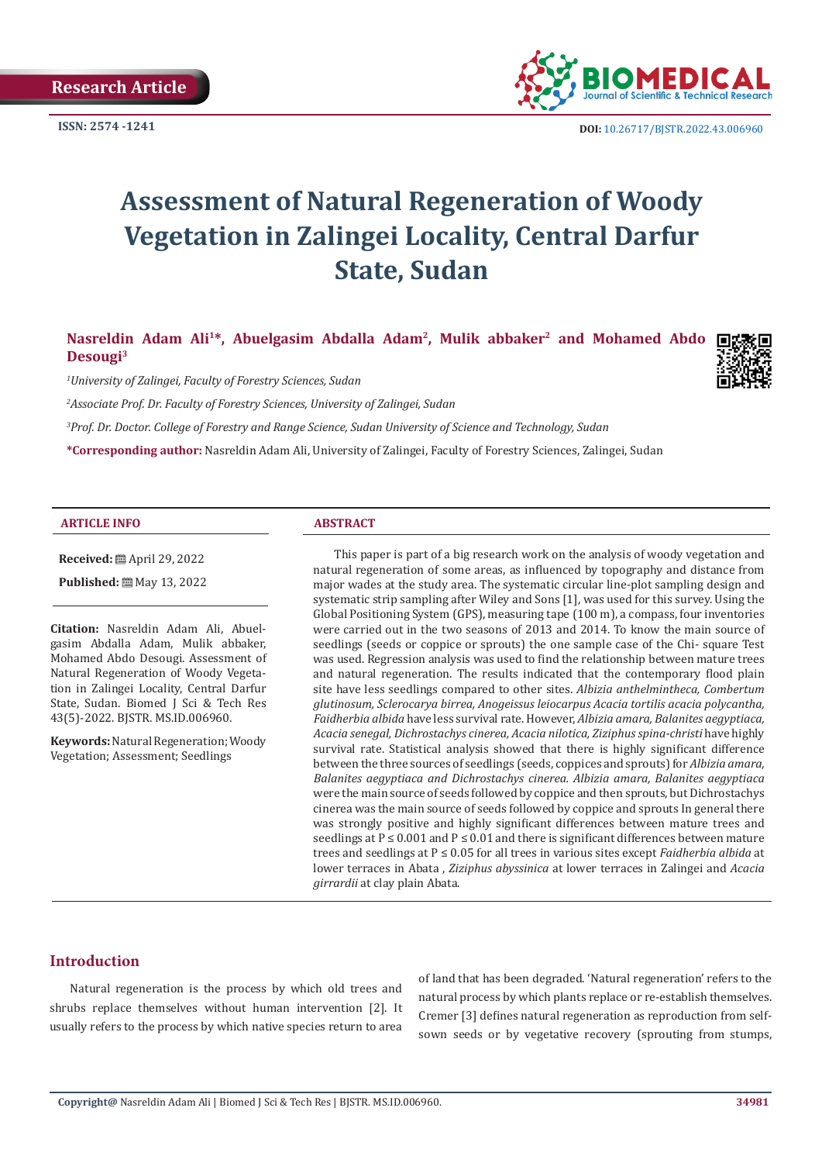**Research Article**



**ISSN: 2574 -1241 DOI:** [10.26717/BJSTR.2022.43.006960](https://dx.doi.org/10.26717/BJSTR.2022.43.006960)

# **Assessment of Natural Regeneration of Woody Vegetation in Zalingei Locality, Central Darfur State, Sudan**

Nasreldin Adam Ali<sup>1\*</sup>, Abuelgasim Abdalla Adam<sup>2</sup>, Mulik abbaker<sup>2</sup> and Mohamed Abdo **Desougi3**



*1 University of Zalingei, Faculty of Forestry Sciences, Sudan*

*2 Associate Prof. Dr. Faculty of Forestry Sciences, University of Zalingei, Sudan*

*3 Prof. Dr. Doctor. College of Forestry and Range Science, Sudan University of Science and Technology, Sudan*

**\*Corresponding author:** Nasreldin Adam Ali, University of Zalingei, Faculty of Forestry Sciences, Zalingei, Sudan

#### **ARTICLE INFO ABSTRACT**

**Received:** April 29, 2022

**Published:** May 13, 2022

**Citation:** Nasreldin Adam Ali, Abuelgasim Abdalla Adam, Mulik abbaker, Mohamed Abdo Desougi. Assessment of Natural Regeneration of Woody Vegetation in Zalingei Locality, Central Darfur State, Sudan. Biomed J Sci & Tech Res 43(5)-2022. BJSTR. MS.ID.006960.

**Keywords:** Natural Regeneration; Woody Vegetation; Assessment; Seedlings

This paper is part of a big research work on the analysis of woody vegetation and natural regeneration of some areas, as influenced by topography and distance from major wades at the study area. The systematic circular line-plot sampling design and systematic strip sampling after Wiley and Sons [1], was used for this survey. Using the Global Positioning System (GPS), measuring tape (100 m), a compass, four inventories were carried out in the two seasons of 2013 and 2014. To know the main source of seedlings (seeds or coppice or sprouts) the one sample case of the Chi- square Test was used. Regression analysis was used to find the relationship between mature trees and natural regeneration. The results indicated that the contemporary flood plain site have less seedlings compared to other sites. *Albizia anthelmintheca, Combertum glutinosum, Sclerocarya birrea, Anogeissus leiocarpus Acacia tortilis acacia polycantha, Faidherbia albida* have less survival rate. However, *Albizia amara, Balanites aegyptiaca, Acacia senegal, Dichrostachys cinerea, Acacia nilotica, Ziziphus spina-christi* have highly survival rate. Statistical analysis showed that there is highly significant difference between the three sources of seedlings (seeds, coppices and sprouts) for *Albizia amara, Balanites aegyptiaca and Dichrostachys cinerea. Albizia amara, Balanites aegyptiaca* were the main source of seeds followed by coppice and then sprouts, but Dichrostachys cinerea was the main source of seeds followed by coppice and sprouts In general there was strongly positive and highly significant differences between mature trees and seedlings at  $P \le 0.001$  and  $P \le 0.01$  and there is significant differences between mature trees and seedlings at P ≤ 0.05 for all trees in various sites except *Faidherbia albida* at lower terraces in Abata , *Ziziphus abyssinica* at lower terraces in Zalingei and *Acacia girrardii* at clay plain Abata.

#### **Introduction**

Natural regeneration is the process by which old trees and shrubs replace themselves without human intervention [2]. It usually refers to the process by which native species return to area of land that has been degraded. 'Natural regeneration' refers to the natural process by which plants replace or re-establish themselves. Cremer [3] defines natural regeneration as reproduction from selfsown seeds or by vegetative recovery (sprouting from stumps,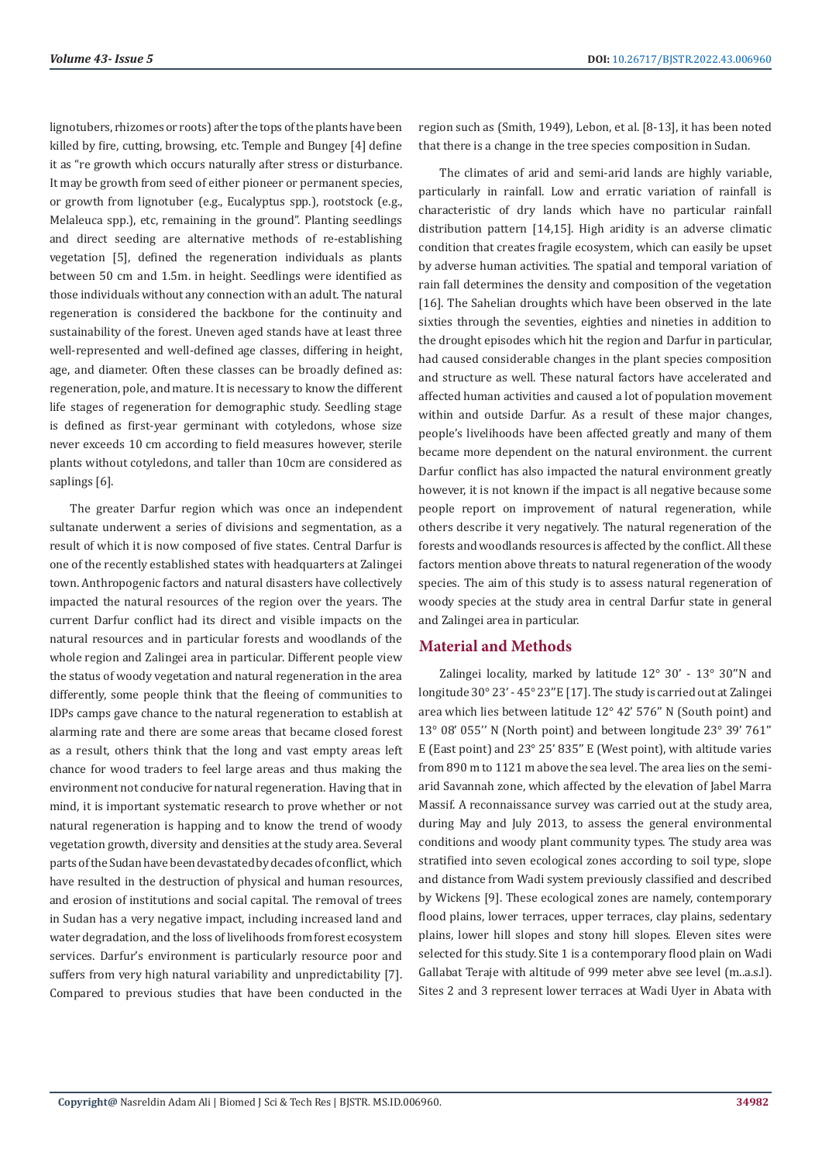lignotubers, rhizomes or roots) after the tops of the plants have been killed by fire, cutting, browsing, etc. Temple and Bungey [4] define it as "re growth which occurs naturally after stress or disturbance. It may be growth from seed of either pioneer or permanent species, or growth from lignotuber (e.g., Eucalyptus spp.), rootstock (e.g., Melaleuca spp.), etc, remaining in the ground". Planting seedlings and direct seeding are alternative methods of re-establishing vegetation [5], defined the regeneration individuals as plants between 50 cm and 1.5m. in height. Seedlings were identified as those individuals without any connection with an adult. The natural regeneration is considered the backbone for the continuity and sustainability of the forest. Uneven aged stands have at least three well-represented and well-defined age classes, differing in height, age, and diameter. Often these classes can be broadly defined as: regeneration, pole, and mature. It is necessary to know the different life stages of regeneration for demographic study. Seedling stage is defined as first-year germinant with cotyledons, whose size never exceeds 10 cm according to field measures however, sterile plants without cotyledons, and taller than 10cm are considered as saplings [6].

The greater Darfur region which was once an independent sultanate underwent a series of divisions and segmentation, as a result of which it is now composed of five states. Central Darfur is one of the recently established states with headquarters at Zalingei town. Anthropogenic factors and natural disasters have collectively impacted the natural resources of the region over the years. The current Darfur conflict had its direct and visible impacts on the natural resources and in particular forests and woodlands of the whole region and Zalingei area in particular. Different people view the status of woody vegetation and natural regeneration in the area differently, some people think that the fleeing of communities to IDPs camps gave chance to the natural regeneration to establish at alarming rate and there are some areas that became closed forest as a result, others think that the long and vast empty areas left chance for wood traders to feel large areas and thus making the environment not conducive for natural regeneration. Having that in mind, it is important systematic research to prove whether or not natural regeneration is happing and to know the trend of woody vegetation growth, diversity and densities at the study area. Several parts of the Sudan have been devastated by decades of conflict, which have resulted in the destruction of physical and human resources, and erosion of institutions and social capital. The removal of trees in Sudan has a very negative impact, including increased land and water degradation, and the loss of livelihoods from forest ecosystem services. Darfur's environment is particularly resource poor and suffers from very high natural variability and unpredictability [7]. Compared to previous studies that have been conducted in the

region such as (Smith, 1949), Lebon, et al. [8-13], it has been noted that there is a change in the tree species composition in Sudan.

The climates of arid and semi-arid lands are highly variable, particularly in rainfall. Low and erratic variation of rainfall is characteristic of dry lands which have no particular rainfall distribution pattern [14,15]. High aridity is an adverse climatic condition that creates fragile ecosystem, which can easily be upset by adverse human activities. The spatial and temporal variation of rain fall determines the density and composition of the vegetation [16]. The Sahelian droughts which have been observed in the late sixties through the seventies, eighties and nineties in addition to the drought episodes which hit the region and Darfur in particular, had caused considerable changes in the plant species composition and structure as well. These natural factors have accelerated and affected human activities and caused a lot of population movement within and outside Darfur. As a result of these major changes, people's livelihoods have been affected greatly and many of them became more dependent on the natural environment. the current Darfur conflict has also impacted the natural environment greatly however, it is not known if the impact is all negative because some people report on improvement of natural regeneration, while others describe it very negatively. The natural regeneration of the forests and woodlands resources is affected by the conflict. All these factors mention above threats to natural regeneration of the woody species. The aim of this study is to assess natural regeneration of woody species at the study area in central Darfur state in general and Zalingei area in particular.

### **Material and Methods**

Zalingei locality, marked by latitude 12° 30' - 13° 30''N and longitude 30° 23' - 45° 23''E [17]. The study is carried out at Zalingei area which lies between latitude 12° 42' 576'' N (South point) and 13° 08' 055'' N (North point) and between longitude 23° 39' 761'' E (East point) and 23° 25' 835'' E (West point), with altitude varies from 890 m to 1121 m above the sea level. The area lies on the semiarid Savannah zone, which affected by the elevation of Jabel Marra Massif. A reconnaissance survey was carried out at the study area, during May and July 2013, to assess the general environmental conditions and woody plant community types. The study area was stratified into seven ecological zones according to soil type, slope and distance from Wadi system previously classified and described by Wickens [9]. These ecological zones are namely, contemporary flood plains, lower terraces, upper terraces, clay plains, sedentary plains, lower hill slopes and stony hill slopes. Eleven sites were selected for this study. Site 1 is a contemporary flood plain on Wadi Gallabat Teraje with altitude of 999 meter abve see level (m..a.s.l). Sites 2 and 3 represent lower terraces at Wadi Uyer in Abata with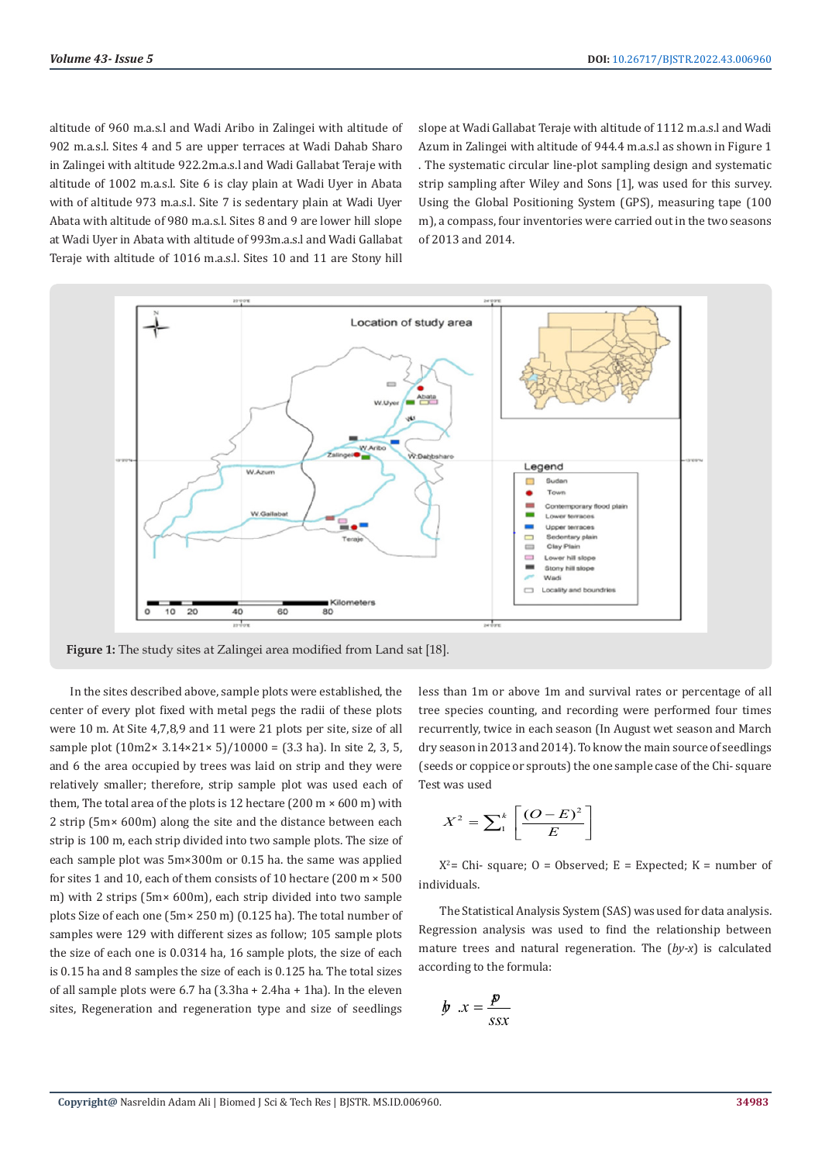altitude of 960 m.a.s.l and Wadi Aribo in Zalingei with altitude of 902 m.a.s.l. Sites 4 and 5 are upper terraces at Wadi Dahab Sharo in Zalingei with altitude 922.2m.a.s.l and Wadi Gallabat Teraje with altitude of 1002 m.a.s.l. Site 6 is clay plain at Wadi Uyer in Abata with of altitude 973 m.a.s.l. Site 7 is sedentary plain at Wadi Uyer Abata with altitude of 980 m.a.s.l. Sites 8 and 9 are lower hill slope at Wadi Uyer in Abata with altitude of 993m.a.s.l and Wadi Gallabat Teraje with altitude of 1016 m.a.s.l. Sites 10 and 11 are Stony hill

slope at Wadi Gallabat Teraje with altitude of 1112 m.a.s.l and Wadi Azum in Zalingei with altitude of 944.4 m.a.s.l as shown in Figure 1 . The systematic circular line-plot sampling design and systematic strip sampling after Wiley and Sons [1], was used for this survey. Using the Global Positioning System (GPS), measuring tape (100 m), a compass, four inventories were carried out in the two seasons of 2013 and 2014.



**Figure 1:** The study sites at Zalingei area modified from Land sat [18].

In the sites described above, sample plots were established, the center of every plot fixed with metal pegs the radii of these plots were 10 m. At Site 4,7,8,9 and 11 were 21 plots per site, size of all sample plot  $(10m2 \times 3.14 \times 21 \times 5)/10000 = (3.3 \text{ ha})$ . In site 2, 3, 5, and 6 the area occupied by trees was laid on strip and they were relatively smaller; therefore, strip sample plot was used each of them, The total area of the plots is 12 hectare (200 m  $\times$  600 m) with 2 strip (5m× 600m) along the site and the distance between each strip is 100 m, each strip divided into two sample plots. The size of each sample plot was 5m×300m or 0.15 ha. the same was applied for sites 1 and 10, each of them consists of 10 hectare (200 m × 500 m) with 2 strips (5m× 600m), each strip divided into two sample plots Size of each one (5m× 250 m) (0.125 ha). The total number of samples were 129 with different sizes as follow; 105 sample plots the size of each one is 0.0314 ha, 16 sample plots, the size of each is 0.15 ha and 8 samples the size of each is 0.125 ha. The total sizes of all sample plots were 6.7 ha (3.3ha + 2.4ha + 1ha). In the eleven sites, Regeneration and regeneration type and size of seedlings

less than 1m or above 1m and survival rates or percentage of all tree species counting, and recording were performed four times recurrently, twice in each season (In August wet season and March dry season in 2013 and 2014). To know the main source of seedlings (seeds or coppice or sprouts) the one sample case of the Chi- square Test was used

$$
X^2 = \sum_{1}^{k} \left[ \frac{(O-E)^2}{E} \right]
$$

 $X^2$  = Chi- square; O = Observed; E = Expected; K = number of individuals.

The Statistical Analysis System (SAS) was used for data analysis. Regression analysis was used to find the relationship between mature trees and natural regeneration. The (*by-x*) is calculated according to the formula:

$$
b \quad x = \frac{p}{ssx}
$$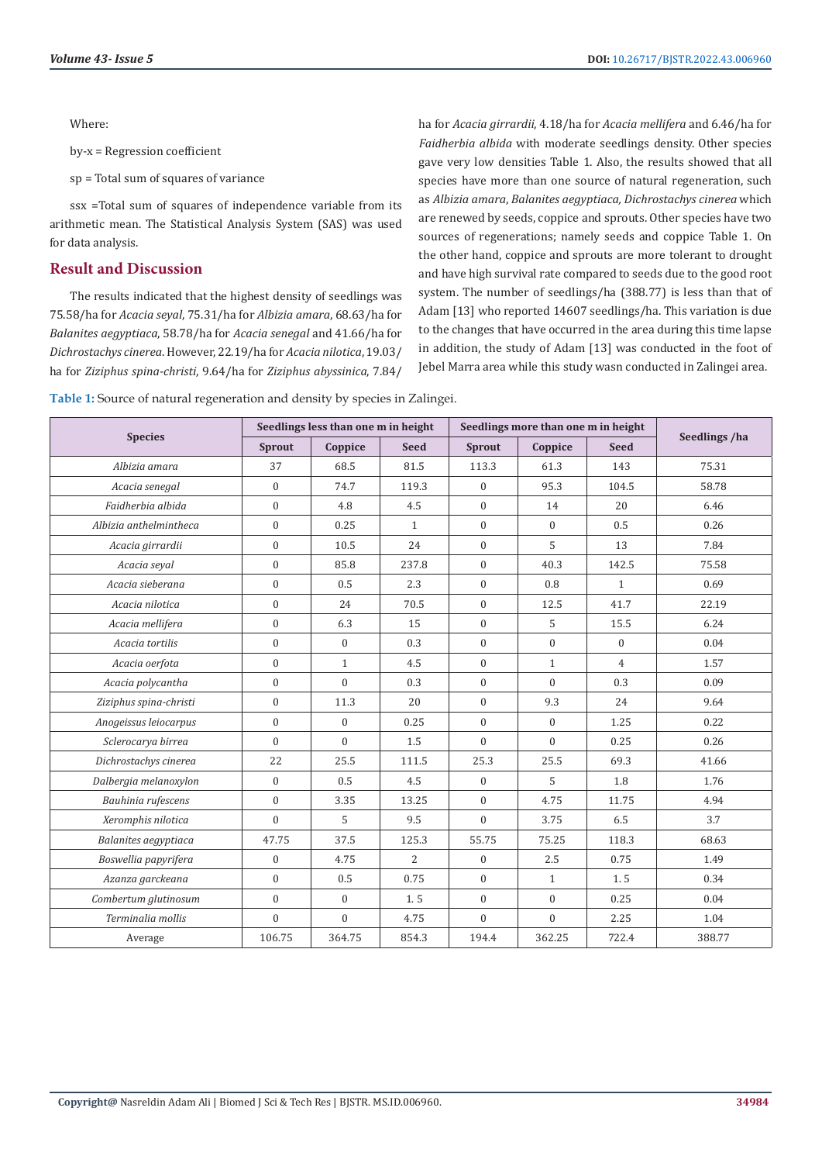Where:

by-x = Regression coefficient

sp = Total sum of squares of variance

ssx =Total sum of squares of independence variable from its arithmetic mean. The Statistical Analysis System (SAS) was used for data analysis.

#### **Result and Discussion**

The results indicated that the highest density of seedlings was 75.58/ha for *Acacia seyal*, 75.31/ha for *Albizia amara*, 68.63/ha for *Balanites aegyptiaca*, 58.78/ha for *Acacia senegal* and 41.66/ha for *Dichrostachys cinerea*. However, 22.19/ha for *Acacia nilotica*, 19.03/ ha for *Ziziphus spina-christi*, 9.64/ha for *Ziziphus abyssinica*, 7.84/

ha for *Acacia girrardii*, 4.18/ha for *Acacia mellifera* and 6.46/ha for *Faidherbia albida* with moderate seedlings density. Other species gave very low densities Table 1. Also, the results showed that all species have more than one source of natural regeneration, such as *Albizia amara*, *Balanites aegyptiaca, Dichrostachys cinerea* which are renewed by seeds, coppice and sprouts. Other species have two sources of regenerations; namely seeds and coppice Table 1. On the other hand, coppice and sprouts are more tolerant to drought and have high survival rate compared to seeds due to the good root system. The number of seedlings/ha (388.77) is less than that of Adam [13] who reported 14607 seedlings/ha. This variation is due to the changes that have occurred in the area during this time lapse in addition, the study of Adam [13] was conducted in the foot of Jebel Marra area while this study wasn conducted in Zalingei area.

**Table 1:** Source of natural regeneration and density by species in Zalingei.

|                        |              | Seedlings less than one m in height |              |                | Seedlings more than one m in height |                |               |
|------------------------|--------------|-------------------------------------|--------------|----------------|-------------------------------------|----------------|---------------|
| <b>Species</b>         | Sprout       | Coppice                             | <b>Seed</b>  | Sprout         | Coppice                             | <b>Seed</b>    | Seedlings /ha |
| Albizia amara          | 37           | 68.5                                | 81.5         | 113.3          | 61.3                                | 143            | 75.31         |
| Acacia senegal         | $\mathbf{0}$ | 74.7                                | 119.3        | $\mathbf{0}$   | 95.3                                | 104.5          | 58.78         |
| Faidherbia albida      | $\mathbf{0}$ | 4.8                                 | 4.5          | $\overline{0}$ | 14                                  | 20             | 6.46          |
| Albizia anthelmintheca | $\theta$     | 0.25                                | $\mathbf{1}$ | $\overline{0}$ | $\mathbf{0}$                        | 0.5            | 0.26          |
| Acacia girrardii       | $\mathbf{0}$ | 10.5                                | 24           | $\overline{0}$ | 5                                   | 13             | 7.84          |
| Acacia seyal           | $\mathbf{0}$ | 85.8                                | 237.8        | $\overline{0}$ | 40.3                                | 142.5          | 75.58         |
| Acacia sieberana       | $\theta$     | 0.5                                 | 2.3          | $\overline{0}$ | 0.8                                 | $\mathbf{1}$   | 0.69          |
| Acacia nilotica        | $\mathbf{0}$ | 24                                  | 70.5         | $\overline{0}$ | 12.5                                | 41.7           | 22.19         |
| Acacia mellifera       | $\Omega$     | 6.3                                 | 15           | $\Omega$       | 5                                   | 15.5           | 6.24          |
| Acacia tortilis        | $\mathbf{0}$ | $\mathbf{0}$                        | 0.3          | $\overline{0}$ | $\mathbf{0}$                        | $\mathbf{0}$   | 0.04          |
| Acacia oerfota         | $\mathbf{0}$ | $\mathbf{1}$                        | 4.5          | $\overline{0}$ | $\mathbf{1}$                        | $\overline{4}$ | 1.57          |
| Acacia polycantha      | $\mathbf{0}$ | $\Omega$                            | 0.3          | $\overline{0}$ | $\Omega$                            | 0.3            | 0.09          |
| Ziziphus spina-christi | $\mathbf{0}$ | 11.3                                | 20           | $\Omega$       | 9.3                                 | 24             | 9.64          |
| Anogeissus leiocarpus  | $\Omega$     | $\Omega$                            | 0.25         | $\Omega$       | $\overline{0}$                      | 1.25           | 0.22          |
| Sclerocarya birrea     | $\theta$     | $\Omega$                            | 1.5          | $\theta$       | $\Omega$                            | 0.25           | 0.26          |
| Dichrostachys cinerea  | 22           | 25.5                                | 111.5        | 25.3           | 25.5                                | 69.3           | 41.66         |
| Dalbergia melanoxylon  | $\mathbf{0}$ | 0.5                                 | 4.5          | $\mathbf{0}$   | 5                                   | 1.8            | 1.76          |
| Bauhinia rufescens     | $\mathbf{0}$ | 3.35                                | 13.25        | $\overline{0}$ | 4.75                                | 11.75          | 4.94          |
| Xeromphis nilotica     | $\mathbf{0}$ | 5                                   | 9.5          | $\Omega$       | 3.75                                | 6.5            | 3.7           |
| Balanites aegyptiaca   | 47.75        | 37.5                                | 125.3        | 55.75          | 75.25                               | 118.3          | 68.63         |
| Boswellia papyrifera   | $\mathbf{0}$ | 4.75                                | 2            | $\overline{0}$ | 2.5                                 | 0.75           | 1.49          |
| Azanza garckeana       | $\mathbf{0}$ | 0.5                                 | 0.75         | $\overline{0}$ | $\mathbf{1}$                        | 1.5            | 0.34          |
| Combertum glutinosum   | $\mathbf{0}$ | $\mathbf{0}$                        | 1.5          | $\overline{0}$ | $\mathbf{0}$                        | 0.25           | 0.04          |
| Terminalia mollis      | $\mathbf{0}$ | $\Omega$                            | 4.75         | $\Omega$       | $\Omega$                            | 2.25           | 1.04          |
| Average                | 106.75       | 364.75                              | 854.3        | 194.4          | 362.25                              | 722.4          | 388.77        |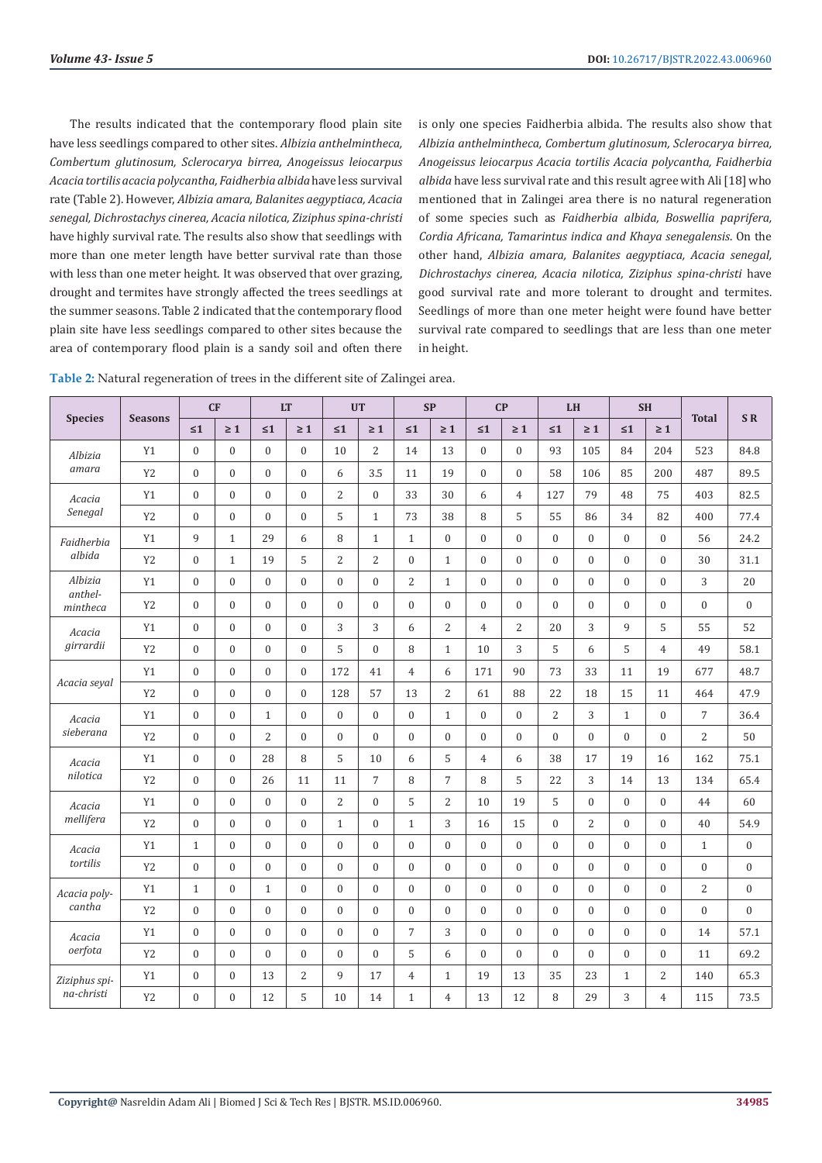The results indicated that the contemporary flood plain site have less seedlings compared to other sites. *Albizia anthelmintheca, Combertum glutinosum, Sclerocarya birrea, Anogeissus leiocarpus Acacia tortilis acacia polycantha, Faidherbia albida* have less survival rate (Table 2). However, *Albizia amara, Balanites aegyptiaca, Acacia senegal, Dichrostachys cinerea, Acacia nilotica, Ziziphus spina-christi* have highly survival rate. The results also show that seedlings with more than one meter length have better survival rate than those with less than one meter height. It was observed that over grazing, drought and termites have strongly affected the trees seedlings at the summer seasons. Table 2 indicated that the contemporary flood plain site have less seedlings compared to other sites because the area of contemporary flood plain is a sandy soil and often there

is only one species Faidherbia albida. The results also show that *Albizia anthelmintheca, Combertum glutinosum, Sclerocarya birrea, Anogeissus leiocarpus Acacia tortilis Acacia polycantha, Faidherbia albida* have less survival rate and this result agree with Ali [18] who mentioned that in Zalingei area there is no natural regeneration of some species such as *Faidherbia albida, Boswellia paprifera, Cordia Africana, Tamarintus indica and Khaya senegalensis*. On the other hand, *Albizia amara, Balanites aegyptiaca, Acacia senegal, Dichrostachys cinerea, Acacia nilotica, Ziziphus spina-christi* have good survival rate and more tolerant to drought and termites. Seedlings of more than one meter height were found have better survival rate compared to seedlings that are less than one meter in height.

**Table 2:** Natural regeneration of trees in the different site of Zalingei area.

|                     |                | CF               |                  | <b>LT</b>        |                  |                  | <b>UT</b>        |                | <b>SP</b>      |                  | CP               | LH                                                                                                     |                  |                  | <b>SH</b>        |                  |                  |
|---------------------|----------------|------------------|------------------|------------------|------------------|------------------|------------------|----------------|----------------|------------------|------------------|--------------------------------------------------------------------------------------------------------|------------------|------------------|------------------|------------------|------------------|
| <b>Species</b>      | <b>Seasons</b> | $\leq 1$         | $\geq 1$         | $\leq 1$         | $\geq 1$         | $\leq 1$         | $\geq 1$         | $\leq 1$       | $\geq 1$       | $\leq 1$         | $\geq 1$         | $\leq 1$                                                                                               | $\geq 1$         | $\leq 1$         | $\geq 1$         | <b>Total</b>     | <b>SR</b>        |
| Albizia             | Y1             | $\mathbf{0}$     | $\boldsymbol{0}$ | $\mathbf{0}$     | $\boldsymbol{0}$ | 10               | 2                | 14             | 13             | $\mathbf{0}$     | $\mathbf{0}$     | 93                                                                                                     | 105              | 84               | 204              | 523              | 84.8             |
| amara               | Y <sub>2</sub> | $\mathbf{0}$     | $\Omega$         | $\mathbf{0}$     | $\mathbf{0}$     | 6                | 3.5              | 11             | 19             | $\mathbf{0}$     | $\mathbf{0}$     | 58                                                                                                     | 106              | 85               | 200              | 487              | 89.5             |
| Acacia              | Y1             | $\mathbf{0}$     | $\overline{0}$   | $\mathbf{0}$     | $\boldsymbol{0}$ | $\overline{c}$   | $\mathbf{0}$     | 33             | 30             | 6                | $\overline{4}$   | 127                                                                                                    | 79               | 48               | 75               | 403              | 82.5             |
| Senegal             | Y <sub>2</sub> | $\overline{0}$   | $\overline{0}$   | $\mathbf{0}$     | $\boldsymbol{0}$ | 5                | $\mathbf{1}$     | 73             | 38             | 8                | 5                | 55                                                                                                     | 86               | 34               | 82               | 400              | 77.4             |
| Faidherbia          | Y1             | 9                | $\mathbf{1}$     | 29               | 6                | 8                | $\mathbf{1}$     | $\mathbf{1}$   | $\mathbf{0}$   | $\mathbf{0}$     | $\mathbf{0}$     | $\boldsymbol{0}$                                                                                       | $\overline{0}$   | $\mathbf{0}$     | $\mathbf{0}$     | 56               | 24.2             |
| albida              | Y <sub>2</sub> | $\mathbf{0}$     | $\mathbf{1}$     | 19               | 5                | $\overline{c}$   | 2                | $\mathbf{0}$   | $\mathbf{1}$   | $\mathbf{0}$     | $\mathbf{0}$     | $\boldsymbol{0}$                                                                                       | $\boldsymbol{0}$ | $\mathbf{0}$     | $\mathbf{0}$     | 30               | 31.1             |
| Albizia             | Y1             | $\mathbf{0}$     | $\mathbf{0}$     | $\mathbf{0}$     | $\boldsymbol{0}$ | $\boldsymbol{0}$ | $\overline{0}$   | 2              | $\mathbf{1}$   | $\mathbf{0}$     | $\mathbf{0}$     | $\boldsymbol{0}$                                                                                       | $\boldsymbol{0}$ | $\mathbf{0}$     | $\mathbf{0}$     | 3                | 20               |
| anthel-<br>mintheca | Y <sub>2</sub> | $\overline{0}$   | $\Omega$         | $\mathbf{0}$     | $\mathbf{0}$     | $\overline{0}$   | $\overline{0}$   | $\theta$       | $\theta$       | $\mathbf{0}$     | $\mathbf{0}$     | $\overline{0}$                                                                                         | $\overline{0}$   | $\mathbf{0}$     | $\overline{0}$   | $\mathbf{0}$     | $\mathbf{0}$     |
| Acacia              | Y1             | $\mathbf{0}$     | $\overline{0}$   | $\mathbf{0}$     | $\mathbf{0}$     | 3                | 3                | 6              | $\mathbf{2}$   | $\overline{4}$   | $\overline{2}$   | 20                                                                                                     | 3                | 9                | 5                | 55               | 52               |
| girrardii           | Y <sub>2</sub> | $\mathbf{0}$     | $\mathbf{0}$     | $\mathbf{0}$     | $\boldsymbol{0}$ | 5                | $\overline{0}$   | 8              | $\mathbf{1}$   | 10               | 3                | 5                                                                                                      | 6                | 5                | $\overline{4}$   | 49               | 58.1             |
|                     | Y1             | $\Omega$         | $\Omega$         | $\Omega$         | $\mathbf{0}$     | 172              | 41               | $\overline{4}$ | 6              | 171              | 90               | 73                                                                                                     | 33               | 11               | 19               | 677              | 48.7             |
| Acacia seyal        | Y <sub>2</sub> | $\mathbf{0}$     | $\overline{0}$   | $\mathbf{0}$     | $\boldsymbol{0}$ | 128              | 57               | 13             | 2              | 61               | 88               | 22                                                                                                     | 18               | 15               | 11               | 464              | 47.9             |
| Acacia              | Y1             | $\boldsymbol{0}$ | $\boldsymbol{0}$ | $\mathbf{1}$     | $\boldsymbol{0}$ | $\boldsymbol{0}$ | $\mathbf{0}$     | $\mathbf{0}$   | $\mathbf{1}$   | $\boldsymbol{0}$ | $\boldsymbol{0}$ | $\overline{c}$                                                                                         | 3                | $\mathbf{1}$     | $\overline{0}$   | $\overline{7}$   | 36.4             |
| sieberana           | Y <sub>2</sub> | $\Omega$         | $\Omega$         | 2                | $\mathbf{0}$     | $\overline{0}$   | $\theta$         | $\theta$       | $\Omega$       | $\mathbf{0}$     | $\Omega$         | $\overline{0}$                                                                                         | $\overline{0}$   | $\theta$         | $\mathbf{0}$     | $\overline{2}$   | 50               |
| Acacia              | Y1             | $\mathbf{0}$     | $\mathbf{0}$     | 28               | 8                | 5                | 10               | 6              | 5              | $\overline{4}$   | 6                | 38                                                                                                     | 17               | 19               | 16               | 162              | 75.1             |
| nilotica            | Y <sub>2</sub> | $\mathbf{0}$     | $\overline{0}$   | 26               | 11               | 11               | $\overline{7}$   | 8              | $\sqrt{ }$     | 8                | 5                | 22                                                                                                     | 3                | 14               | 13               | 134              | 65.4             |
| Acacia              | <b>Y1</b>      | $\Omega$         | $\Omega$         | $\Omega$         | $\mathbf{0}$     | 2                | $\overline{0}$   | 5              | 2              | 10               | 19               | 5                                                                                                      | $\overline{0}$   | $\theta$         | $\mathbf{0}$     | 44               | 60               |
| mellifera           | Y <sub>2</sub> | $\mathbf{0}$     | $\overline{0}$   | $\mathbf{0}$     | $\boldsymbol{0}$ | $\mathbf{1}$     | $\overline{0}$   | $\mathbf{1}$   | 3              | 16               | 15               | $\boldsymbol{0}$                                                                                       | 2                | $\mathbf{0}$     | $\mathbf{0}$     | 40               | 54.9             |
| Acacia              | Y1             | $\mathbf{1}$     | $\overline{0}$   | $\mathbf{0}$     | $\boldsymbol{0}$ | $\boldsymbol{0}$ | $\overline{0}$   | $\mathbf{0}$   | $\mathbf{0}$   | $\mathbf{0}$     | $\mathbf{0}$     | $\boldsymbol{0}$                                                                                       | $\boldsymbol{0}$ | $\theta$         | $\mathbf{0}$     | $\mathbf{1}$     | $\boldsymbol{0}$ |
| tortilis            | Y <sub>2</sub> | $\boldsymbol{0}$ | $\mathbf{0}$     | $\boldsymbol{0}$ | $\boldsymbol{0}$ | $\boldsymbol{0}$ | $\boldsymbol{0}$ | $\mathbf{0}$   | $\overline{0}$ | $\boldsymbol{0}$ | $\boldsymbol{0}$ | $\boldsymbol{0}$                                                                                       | $\boldsymbol{0}$ | $\mathbf{0}$     | $\boldsymbol{0}$ | $\boldsymbol{0}$ | $\boldsymbol{0}$ |
| Acacia poly-        | Y1             | $\mathbf{1}$     | $\mathbf{0}$     | $\mathbf{1}$     | $\boldsymbol{0}$ | $\boldsymbol{0}$ | $\overline{0}$   | $\mathbf{0}$   | $\mathbf{0}$   | $\mathbf{0}$     | $\mathbf{0}$     | $\mathbf{0}$                                                                                           | $\overline{0}$   | $\theta$         | $\mathbf{0}$     | $\overline{2}$   | $\boldsymbol{0}$ |
| cantha              | Y <sub>2</sub> | $\overline{0}$   | $\mathbf{0}$     | $\mathbf{0}$     | $\mathbf{0}$     | $\mathbf{0}$     | $\overline{0}$   | $\mathbf{0}$   | $\mathbf{0}$   | $\mathbf{0}$     | $\mathbf{0}$     | $\mathbf{0}$                                                                                           | $\overline{0}$   | $\theta$         | $\mathbf{0}$     | $\mathbf{0}$     | $\mathbf{0}$     |
| Acacia              | Y1             | $\boldsymbol{0}$ | $\mathbf{0}$     | $\boldsymbol{0}$ | $\boldsymbol{0}$ | $\boldsymbol{0}$ | $\boldsymbol{0}$ | $\overline{7}$ | 3              | $\boldsymbol{0}$ | $\boldsymbol{0}$ | $\boldsymbol{0}$                                                                                       | $\boldsymbol{0}$ | $\boldsymbol{0}$ | $\boldsymbol{0}$ | 14               | 57.1             |
| oerfota             | Y <sub>2</sub> | $\Omega$         | $\overline{0}$   | $\mathbf{0}$     | $\mathbf{0}$     | $\mathbf{0}$     | $\theta$         | 5              | 6              | $\theta$         | $\mathbf{0}$     | $\mathbf{0}$<br>$\mathbf{0}$<br>$\overline{0}$<br>13<br>35<br>23<br>$\mathbf{1}$<br>8<br>12<br>29<br>3 | $\mathbf{0}$     | 11               | 69.2             |                  |                  |
| Ziziphus spi-       | Y1             | $\boldsymbol{0}$ | $\overline{0}$   | 13               | $\overline{2}$   | 9                | 17               | $\overline{4}$ | $\mathbf{1}$   | 19               |                  |                                                                                                        |                  |                  | $\overline{c}$   | 140              | 65.3             |
| na-christi          | Y <sub>2</sub> | $\mathbf{0}$     | $\overline{0}$   | 12               | 5                | 10               | 14               | $\mathbf{1}$   | $\overline{4}$ | 13               |                  |                                                                                                        |                  |                  | $\overline{4}$   | 115              | 73.5             |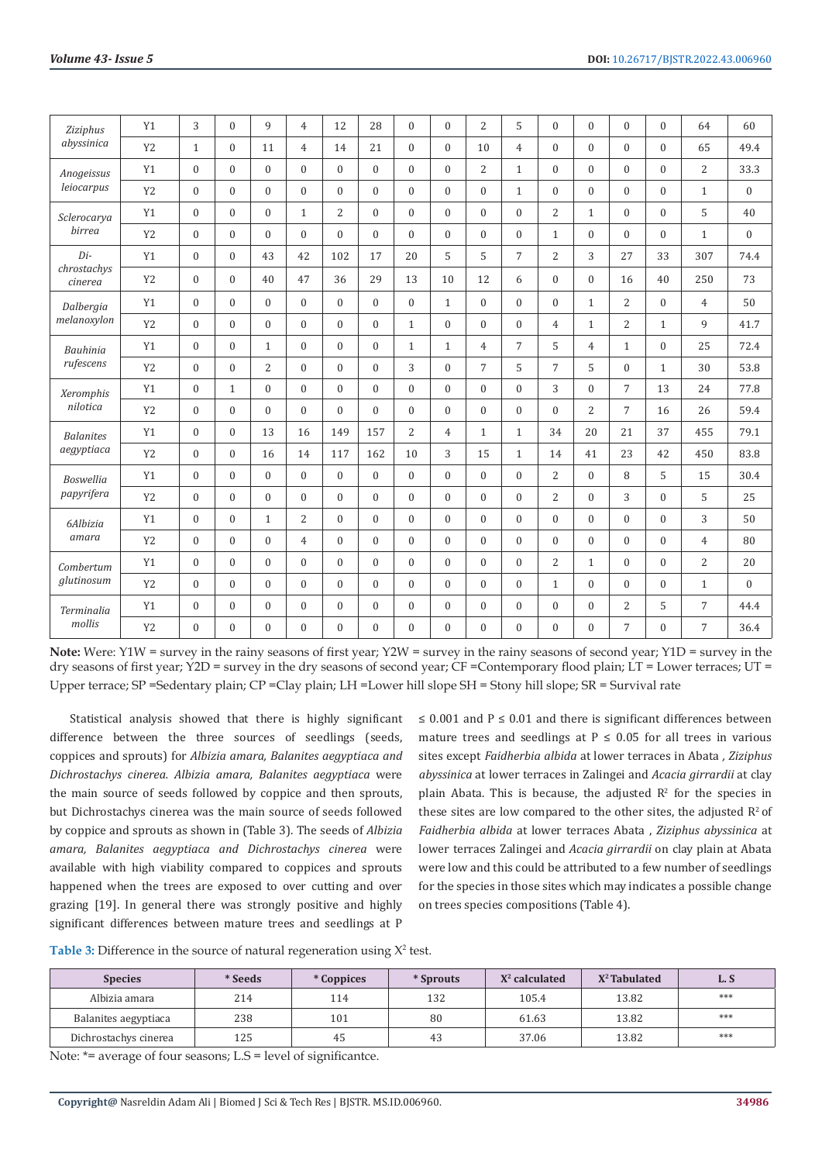| Ziziphus               | Y1             | 3            | $\Omega$                                                                                                                                                                                                                                                                                                                                                                                                                                                                                                                                                                | $\mathbf{q}$ | $\overline{4}$                                                                                                                                                                                                                                                                                                                                                                                                                                                                                                                                                                                                                                                                                                                                                                                                                                                                                                                                                                                                                                                                                                                                                                                                                                                                                                                                                                                                                                                                                                                                                                                                                                                                                                                                                                                                                                                                                                                                                                                                                                                                                                                                                                                                                                                                                                                                                                                                                                                                                                                                                                                                                                                                                                                                                                                 | 12               | 28             | $\theta$ | $\Omega$     | $\overline{2}$ | 5              | $\overline{0}$   | $\mathbf{0}$     | $\theta$ | $\theta$                                                                         | 64             | 60               |
|------------------------|----------------|--------------|-------------------------------------------------------------------------------------------------------------------------------------------------------------------------------------------------------------------------------------------------------------------------------------------------------------------------------------------------------------------------------------------------------------------------------------------------------------------------------------------------------------------------------------------------------------------------|--------------|------------------------------------------------------------------------------------------------------------------------------------------------------------------------------------------------------------------------------------------------------------------------------------------------------------------------------------------------------------------------------------------------------------------------------------------------------------------------------------------------------------------------------------------------------------------------------------------------------------------------------------------------------------------------------------------------------------------------------------------------------------------------------------------------------------------------------------------------------------------------------------------------------------------------------------------------------------------------------------------------------------------------------------------------------------------------------------------------------------------------------------------------------------------------------------------------------------------------------------------------------------------------------------------------------------------------------------------------------------------------------------------------------------------------------------------------------------------------------------------------------------------------------------------------------------------------------------------------------------------------------------------------------------------------------------------------------------------------------------------------------------------------------------------------------------------------------------------------------------------------------------------------------------------------------------------------------------------------------------------------------------------------------------------------------------------------------------------------------------------------------------------------------------------------------------------------------------------------------------------------------------------------------------------------------------------------------------------------------------------------------------------------------------------------------------------------------------------------------------------------------------------------------------------------------------------------------------------------------------------------------------------------------------------------------------------------------------------------------------------------------------------------------------------------|------------------|----------------|----------|--------------|----------------|----------------|------------------|------------------|----------|----------------------------------------------------------------------------------|----------------|------------------|
| abyssinica             | Y <sub>2</sub> | $\mathbf{1}$ | $\Omega$                                                                                                                                                                                                                                                                                                                                                                                                                                                                                                                                                                | 11           | $\overline{4}$                                                                                                                                                                                                                                                                                                                                                                                                                                                                                                                                                                                                                                                                                                                                                                                                                                                                                                                                                                                                                                                                                                                                                                                                                                                                                                                                                                                                                                                                                                                                                                                                                                                                                                                                                                                                                                                                                                                                                                                                                                                                                                                                                                                                                                                                                                                                                                                                                                                                                                                                                                                                                                                                                                                                                                                 | 14               | 21             | $\theta$ | $\Omega$     | 10             | $\overline{4}$ | $\Omega$         | $\overline{0}$   | $\theta$ | $\Omega$                                                                         | 65             | 49.4             |
| Anogeissus             | Y1             | $\mathbf{0}$ | $\mathbf{0}$                                                                                                                                                                                                                                                                                                                                                                                                                                                                                                                                                            | $\mathbf{0}$ | $\mathbf{0}$<br>$\overline{2}$<br>$\overline{0}$<br>$\mathbf{0}$<br>$\theta$<br>$\Omega$<br>$\overline{0}$<br>$\boldsymbol{0}$<br>$\mathbf{0}$<br>$\mathbf{1}$<br>$\boldsymbol{0}$<br>$\boldsymbol{0}$<br>$\mathbf{0}$<br>$\theta$<br>$\Omega$<br>$\Omega$<br>$\boldsymbol{0}$<br>$\overline{0}$<br>$\mathbf{0}$<br>$\mathbf{1}$<br>2<br>2<br>$\mathbf{1}$<br>$\overline{0}$<br>$\theta$<br>$\mathbf{0}$<br>$\mathbf{0}$<br>$\mathbf{0}$<br>$\mathbf{1}$<br>$\mathbf{0}$<br>$\overline{0}$<br>$\mathbf{0}$<br>$\Omega$<br>$\theta$<br>$\Omega$<br>$\Omega$<br>$\mathbf{0}$<br>$\mathbf{1}$<br>$\overline{0}$<br>$\Omega$<br>5<br>$\overline{c}$<br>42<br>102<br>17<br>20<br>5<br>7<br>3<br>27<br>47<br>36<br>29<br>13<br>10<br>12<br>$\overline{0}$<br>$\overline{0}$<br>16<br>6<br>$\overline{2}$<br>$\mathbf{0}$<br>$\overline{0}$<br>$\theta$<br>$\theta$<br>$\overline{0}$<br>$\Omega$<br>$\mathbf{1}$<br>$\Omega$<br>$\mathbf{1}$<br>$\mathbf{0}$<br>$\mathbf{0}$<br>$\mathbf{0}$<br>$\overline{2}$<br>$\mathbf{0}$<br>$\mathbf{0}$<br>$\mathbf{1}$<br>$\mathbf{0}$<br>$\mathbf{1}$<br>4<br>$\boldsymbol{0}$<br>5<br>$\boldsymbol{0}$<br>$\mathbf{1}$<br>7<br>$\mathbf{1}$<br>$\mathbf{0}$<br>$\mathbf{1}$<br>4<br>4<br>$\overline{7}$<br>$\boldsymbol{0}$<br>$\mathbf{0}$<br>$\overline{0}$<br>3<br>$\mathbf{0}$<br>$\overline{7}$<br>5<br>5<br>$\mathbf{0}$<br>$\boldsymbol{0}$<br>$\mathbf{0}$<br>$\mathbf{0}$<br>$\theta$<br>$\Omega$<br>3<br>$\overline{0}$<br>7<br>$\Omega$<br>$\mathbf{0}$<br>2<br>$\boldsymbol{0}$<br>$\boldsymbol{0}$<br>$\mathbf{0}$<br>$\mathbf{0}$<br>$\mathbf{0}$<br>$\mathbf{0}$<br>$\mathbf{0}$<br>$\boldsymbol{0}$<br>$\overline{7}$<br>$\overline{2}$<br>34<br>16<br>149<br>157<br>$\overline{4}$<br>20<br>21<br>$\mathbf{1}$<br>$\mathbf{1}$<br>3<br>14<br>117<br>162<br>10<br>15<br>41<br>23<br>$\mathbf{1}$<br>14<br>$\mathbf{0}$<br>$\theta$<br>$\Omega$<br>$\overline{2}$<br>8<br>$\overline{0}$<br>$\mathbf{0}$<br>$\mathbf{0}$<br>$\mathbf{0}$<br>$\overline{0}$<br>$\boldsymbol{0}$<br>$\overline{2}$<br>3<br>$\overline{0}$<br>$\mathbf{0}$<br>$\mathbf{0}$<br>$\Omega$<br>$\mathbf{0}$<br>$\mathbf{0}$<br>$\overline{0}$<br>2<br>$\overline{0}$<br>$\theta$<br>$\Omega$<br>$\theta$<br>$\mathbf{0}$<br>$\overline{0}$<br>$\overline{0}$<br>$\theta$<br>$\theta$<br>$\overline{4}$<br>$\overline{0}$<br>$\Omega$<br>$\theta$<br>$\Omega$<br>$\Omega$<br>$\Omega$<br>$\mathbf{0}$<br>$\overline{0}$<br>$\theta$<br>$\overline{c}$<br>$\mathbf{0}$<br>$\overline{0}$<br>$\mathbf{0}$<br>$\mathbf{0}$<br>$\mathbf{0}$<br>$\mathbf{0}$<br>$\mathbf{0}$<br>$\mathbf{0}$<br>$\mathbf{1}$<br>$\boldsymbol{0}$<br>$\boldsymbol{0}$<br>$\theta$<br>$\mathbf{0}$<br>$\mathbf{0}$<br>$\mathbf{1}$<br>$\boldsymbol{0}$<br>$\mathbf{0}$<br>0<br>$\mathbf{0}$ | $\theta$         | $\overline{2}$ | 33.3     |              |                |                |                  |                  |          |                                                                                  |                |                  |
| leiocarpus             | Y <sub>2</sub> | $\mathbf{0}$ | $\Omega$                                                                                                                                                                                                                                                                                                                                                                                                                                                                                                                                                                | $\mathbf{0}$ |                                                                                                                                                                                                                                                                                                                                                                                                                                                                                                                                                                                                                                                                                                                                                                                                                                                                                                                                                                                                                                                                                                                                                                                                                                                                                                                                                                                                                                                                                                                                                                                                                                                                                                                                                                                                                                                                                                                                                                                                                                                                                                                                                                                                                                                                                                                                                                                                                                                                                                                                                                                                                                                                                                                                                                                                |                  |                |          |              |                |                |                  |                  |          | $\mathbf{0}$                                                                     | $\mathbf{1}$   | $\boldsymbol{0}$ |
| Sclerocarya            | Y1             | $\mathbf{0}$ | $\mathbf{0}$                                                                                                                                                                                                                                                                                                                                                                                                                                                                                                                                                            | $\mathbf{0}$ |                                                                                                                                                                                                                                                                                                                                                                                                                                                                                                                                                                                                                                                                                                                                                                                                                                                                                                                                                                                                                                                                                                                                                                                                                                                                                                                                                                                                                                                                                                                                                                                                                                                                                                                                                                                                                                                                                                                                                                                                                                                                                                                                                                                                                                                                                                                                                                                                                                                                                                                                                                                                                                                                                                                                                                                                |                  |                |          |              |                |                |                  |                  |          | $\theta$                                                                         | 5              | 40               |
| birrea                 | Y <sub>2</sub> | $\Omega$     | $\Omega$                                                                                                                                                                                                                                                                                                                                                                                                                                                                                                                                                                | $\Omega$     |                                                                                                                                                                                                                                                                                                                                                                                                                                                                                                                                                                                                                                                                                                                                                                                                                                                                                                                                                                                                                                                                                                                                                                                                                                                                                                                                                                                                                                                                                                                                                                                                                                                                                                                                                                                                                                                                                                                                                                                                                                                                                                                                                                                                                                                                                                                                                                                                                                                                                                                                                                                                                                                                                                                                                                                                |                  |                |          |              |                |                |                  |                  |          | $\Omega$                                                                         | $1\,$          | $\overline{0}$   |
| $Di-$                  | Y1             | $\mathbf{0}$ | $\overline{0}$<br>43<br>$\mathbf{0}$<br>40<br>$\mathbf{0}$<br>$\theta$<br>$\theta$<br>$\Omega$<br>$\mathbf{0}$<br>$\mathbf{0}$<br>$\mathbf{0}$<br>$\mathbf{0}$<br>$\overline{0}$<br>$\mathbf{1}$<br>$\mathbf{0}$<br>$\mathbf{0}$<br>2<br>$\Omega$<br>$\mathbf{0}$<br>$\mathbf{1}$<br>$\mathbf{0}$<br>$\overline{0}$<br>$\mathbf{0}$<br>$\Omega$<br>$\Omega$<br>13<br>$\Omega$<br>16<br>$\Omega$<br>$\mathbf{0}$<br>$\mathbf{0}$<br>$\Omega$<br>$\mathbf{0}$<br>$\mathbf{0}$<br>$\mathbf{0}$<br>$\Omega$<br>$\Omega$<br>$\mathbf{1}$<br>$\Omega$<br>$\Omega$<br>$\Omega$ |              |                                                                                                                                                                                                                                                                                                                                                                                                                                                                                                                                                                                                                                                                                                                                                                                                                                                                                                                                                                                                                                                                                                                                                                                                                                                                                                                                                                                                                                                                                                                                                                                                                                                                                                                                                                                                                                                                                                                                                                                                                                                                                                                                                                                                                                                                                                                                                                                                                                                                                                                                                                                                                                                                                                                                                                                                |                  |                | 33       | 307          | 74.4           |                |                  |                  |          |                                                                                  |                |                  |
| chrostachys<br>cinerea | Y <sub>2</sub> |              |                                                                                                                                                                                                                                                                                                                                                                                                                                                                                                                                                                         |              |                                                                                                                                                                                                                                                                                                                                                                                                                                                                                                                                                                                                                                                                                                                                                                                                                                                                                                                                                                                                                                                                                                                                                                                                                                                                                                                                                                                                                                                                                                                                                                                                                                                                                                                                                                                                                                                                                                                                                                                                                                                                                                                                                                                                                                                                                                                                                                                                                                                                                                                                                                                                                                                                                                                                                                                                |                  |                |          |              |                |                |                  |                  |          | 40                                                                               | 250            | 73               |
| Dalbergia              | Y1             |              |                                                                                                                                                                                                                                                                                                                                                                                                                                                                                                                                                                         |              |                                                                                                                                                                                                                                                                                                                                                                                                                                                                                                                                                                                                                                                                                                                                                                                                                                                                                                                                                                                                                                                                                                                                                                                                                                                                                                                                                                                                                                                                                                                                                                                                                                                                                                                                                                                                                                                                                                                                                                                                                                                                                                                                                                                                                                                                                                                                                                                                                                                                                                                                                                                                                                                                                                                                                                                                |                  |                |          |              |                |                |                  |                  |          | $\theta$                                                                         | $\overline{4}$ | 50               |
| melanoxylon            | Y <sub>2</sub> |              |                                                                                                                                                                                                                                                                                                                                                                                                                                                                                                                                                                         |              |                                                                                                                                                                                                                                                                                                                                                                                                                                                                                                                                                                                                                                                                                                                                                                                                                                                                                                                                                                                                                                                                                                                                                                                                                                                                                                                                                                                                                                                                                                                                                                                                                                                                                                                                                                                                                                                                                                                                                                                                                                                                                                                                                                                                                                                                                                                                                                                                                                                                                                                                                                                                                                                                                                                                                                                                |                  |                |          |              |                |                |                  |                  |          | $\mathbf{1}$                                                                     | 9              | 41.7             |
| Bauhinia               | Y1             |              |                                                                                                                                                                                                                                                                                                                                                                                                                                                                                                                                                                         |              |                                                                                                                                                                                                                                                                                                                                                                                                                                                                                                                                                                                                                                                                                                                                                                                                                                                                                                                                                                                                                                                                                                                                                                                                                                                                                                                                                                                                                                                                                                                                                                                                                                                                                                                                                                                                                                                                                                                                                                                                                                                                                                                                                                                                                                                                                                                                                                                                                                                                                                                                                                                                                                                                                                                                                                                                |                  |                |          |              |                |                |                  |                  |          | $\mathbf{0}$                                                                     | 25             | 72.4             |
| rufescens              | Y <sub>2</sub> |              |                                                                                                                                                                                                                                                                                                                                                                                                                                                                                                                                                                         |              |                                                                                                                                                                                                                                                                                                                                                                                                                                                                                                                                                                                                                                                                                                                                                                                                                                                                                                                                                                                                                                                                                                                                                                                                                                                                                                                                                                                                                                                                                                                                                                                                                                                                                                                                                                                                                                                                                                                                                                                                                                                                                                                                                                                                                                                                                                                                                                                                                                                                                                                                                                                                                                                                                                                                                                                                |                  |                |          |              |                |                |                  |                  |          | $\mathbf{1}$                                                                     | 30             | 53.8             |
| Xeromphis              | Y1             |              |                                                                                                                                                                                                                                                                                                                                                                                                                                                                                                                                                                         |              |                                                                                                                                                                                                                                                                                                                                                                                                                                                                                                                                                                                                                                                                                                                                                                                                                                                                                                                                                                                                                                                                                                                                                                                                                                                                                                                                                                                                                                                                                                                                                                                                                                                                                                                                                                                                                                                                                                                                                                                                                                                                                                                                                                                                                                                                                                                                                                                                                                                                                                                                                                                                                                                                                                                                                                                                |                  |                |          |              |                |                |                  |                  |          | 13                                                                               | 24             | 77.8             |
| nilotica               | Y <sub>2</sub> |              |                                                                                                                                                                                                                                                                                                                                                                                                                                                                                                                                                                         |              |                                                                                                                                                                                                                                                                                                                                                                                                                                                                                                                                                                                                                                                                                                                                                                                                                                                                                                                                                                                                                                                                                                                                                                                                                                                                                                                                                                                                                                                                                                                                                                                                                                                                                                                                                                                                                                                                                                                                                                                                                                                                                                                                                                                                                                                                                                                                                                                                                                                                                                                                                                                                                                                                                                                                                                                                |                  |                |          |              |                |                |                  |                  |          | 16                                                                               | 26             | 59.4             |
| <b>Balanites</b>       | Y1             |              |                                                                                                                                                                                                                                                                                                                                                                                                                                                                                                                                                                         |              |                                                                                                                                                                                                                                                                                                                                                                                                                                                                                                                                                                                                                                                                                                                                                                                                                                                                                                                                                                                                                                                                                                                                                                                                                                                                                                                                                                                                                                                                                                                                                                                                                                                                                                                                                                                                                                                                                                                                                                                                                                                                                                                                                                                                                                                                                                                                                                                                                                                                                                                                                                                                                                                                                                                                                                                                |                  |                |          |              |                |                |                  |                  |          | 37                                                                               | 455            | 79.1             |
| aegyptiaca             | Y <sub>2</sub> |              |                                                                                                                                                                                                                                                                                                                                                                                                                                                                                                                                                                         |              |                                                                                                                                                                                                                                                                                                                                                                                                                                                                                                                                                                                                                                                                                                                                                                                                                                                                                                                                                                                                                                                                                                                                                                                                                                                                                                                                                                                                                                                                                                                                                                                                                                                                                                                                                                                                                                                                                                                                                                                                                                                                                                                                                                                                                                                                                                                                                                                                                                                                                                                                                                                                                                                                                                                                                                                                |                  |                |          |              |                |                |                  |                  |          | 42                                                                               | 450            | 83.8             |
| <b>Boswellia</b>       | Y1             |              |                                                                                                                                                                                                                                                                                                                                                                                                                                                                                                                                                                         |              |                                                                                                                                                                                                                                                                                                                                                                                                                                                                                                                                                                                                                                                                                                                                                                                                                                                                                                                                                                                                                                                                                                                                                                                                                                                                                                                                                                                                                                                                                                                                                                                                                                                                                                                                                                                                                                                                                                                                                                                                                                                                                                                                                                                                                                                                                                                                                                                                                                                                                                                                                                                                                                                                                                                                                                                                |                  |                |          |              |                |                |                  |                  |          | 5                                                                                | 15             | 30.4             |
| papyrifera             | Y <sub>2</sub> |              |                                                                                                                                                                                                                                                                                                                                                                                                                                                                                                                                                                         |              |                                                                                                                                                                                                                                                                                                                                                                                                                                                                                                                                                                                                                                                                                                                                                                                                                                                                                                                                                                                                                                                                                                                                                                                                                                                                                                                                                                                                                                                                                                                                                                                                                                                                                                                                                                                                                                                                                                                                                                                                                                                                                                                                                                                                                                                                                                                                                                                                                                                                                                                                                                                                                                                                                                                                                                                                |                  |                |          |              |                |                |                  |                  |          | $\Omega$                                                                         | 5              | 25               |
| 6Albizia               | Y1             |              |                                                                                                                                                                                                                                                                                                                                                                                                                                                                                                                                                                         |              |                                                                                                                                                                                                                                                                                                                                                                                                                                                                                                                                                                                                                                                                                                                                                                                                                                                                                                                                                                                                                                                                                                                                                                                                                                                                                                                                                                                                                                                                                                                                                                                                                                                                                                                                                                                                                                                                                                                                                                                                                                                                                                                                                                                                                                                                                                                                                                                                                                                                                                                                                                                                                                                                                                                                                                                                |                  |                |          |              |                |                |                  |                  |          | $\theta$                                                                         | 3              | 50               |
| amara                  | Y <sub>2</sub> |              |                                                                                                                                                                                                                                                                                                                                                                                                                                                                                                                                                                         |              |                                                                                                                                                                                                                                                                                                                                                                                                                                                                                                                                                                                                                                                                                                                                                                                                                                                                                                                                                                                                                                                                                                                                                                                                                                                                                                                                                                                                                                                                                                                                                                                                                                                                                                                                                                                                                                                                                                                                                                                                                                                                                                                                                                                                                                                                                                                                                                                                                                                                                                                                                                                                                                                                                                                                                                                                |                  |                |          |              |                |                |                  |                  |          | $\Omega$<br>$\mathbf{0}$<br>$\mathbf{0}$<br>$\overline{2}$<br>5<br>7<br>$\theta$ | $\overline{4}$ | 80               |
| Combertum              | Y1             | $\mathbf{0}$ | $\mathbf{0}$                                                                                                                                                                                                                                                                                                                                                                                                                                                                                                                                                            | $\mathbf{0}$ |                                                                                                                                                                                                                                                                                                                                                                                                                                                                                                                                                                                                                                                                                                                                                                                                                                                                                                                                                                                                                                                                                                                                                                                                                                                                                                                                                                                                                                                                                                                                                                                                                                                                                                                                                                                                                                                                                                                                                                                                                                                                                                                                                                                                                                                                                                                                                                                                                                                                                                                                                                                                                                                                                                                                                                                                |                  |                |          |              |                |                |                  |                  |          |                                                                                  | $\overline{2}$ | 20               |
| glutinosum             | Y <sub>2</sub> | $\mathbf{0}$ | $\Omega$                                                                                                                                                                                                                                                                                                                                                                                                                                                                                                                                                                | $\mathbf{0}$ |                                                                                                                                                                                                                                                                                                                                                                                                                                                                                                                                                                                                                                                                                                                                                                                                                                                                                                                                                                                                                                                                                                                                                                                                                                                                                                                                                                                                                                                                                                                                                                                                                                                                                                                                                                                                                                                                                                                                                                                                                                                                                                                                                                                                                                                                                                                                                                                                                                                                                                                                                                                                                                                                                                                                                                                                |                  |                |          |              |                |                |                  |                  |          |                                                                                  | $\mathbf{1}$   | $\boldsymbol{0}$ |
| Terminalia             | Y1             | $\mathbf{0}$ | $\mathbf{0}$                                                                                                                                                                                                                                                                                                                                                                                                                                                                                                                                                            | $\mathbf{0}$ | $\boldsymbol{0}$                                                                                                                                                                                                                                                                                                                                                                                                                                                                                                                                                                                                                                                                                                                                                                                                                                                                                                                                                                                                                                                                                                                                                                                                                                                                                                                                                                                                                                                                                                                                                                                                                                                                                                                                                                                                                                                                                                                                                                                                                                                                                                                                                                                                                                                                                                                                                                                                                                                                                                                                                                                                                                                                                                                                                                               | $\boldsymbol{0}$ | $\mathbf{0}$   | $\theta$ | $\mathbf{0}$ | $\mathbf{0}$   | $\mathbf{0}$   | $\boldsymbol{0}$ | $\boldsymbol{0}$ |          |                                                                                  | $\overline{7}$ | 44.4             |
| mollis                 | Y <sub>2</sub> | $\theta$     | $\Omega$                                                                                                                                                                                                                                                                                                                                                                                                                                                                                                                                                                | $\mathbf{0}$ | $\overline{0}$                                                                                                                                                                                                                                                                                                                                                                                                                                                                                                                                                                                                                                                                                                                                                                                                                                                                                                                                                                                                                                                                                                                                                                                                                                                                                                                                                                                                                                                                                                                                                                                                                                                                                                                                                                                                                                                                                                                                                                                                                                                                                                                                                                                                                                                                                                                                                                                                                                                                                                                                                                                                                                                                                                                                                                                 | $\overline{0}$   | $\overline{0}$ | $\theta$ | $\Omega$     | $\mathbf{0}$   | $\mathbf{0}$   | $\overline{0}$   | $\overline{0}$   |          |                                                                                  | $\overline{7}$ | 36.4             |

**Note:** Were: Y1W = survey in the rainy seasons of first year; Y2W = survey in the rainy seasons of second year; Y1D = survey in the dry seasons of first year; Y2D = survey in the dry seasons of second year; CF = Contemporary flood plain; LT = Lower terraces; UT = Upper terrace; SP =Sedentary plain; CP =Clay plain; LH =Lower hill slope SH = Stony hill slope; SR = Survival rate

Statistical analysis showed that there is highly significant difference between the three sources of seedlings (seeds, coppices and sprouts) for *Albizia amara, Balanites aegyptiaca and Dichrostachys cinerea. Albizia amara, Balanites aegyptiaca* were the main source of seeds followed by coppice and then sprouts, but Dichrostachys cinerea was the main source of seeds followed by coppice and sprouts as shown in (Table 3). The seeds of *Albizia amara, Balanites aegyptiaca and Dichrostachys cinerea* were available with high viability compared to coppices and sprouts happened when the trees are exposed to over cutting and over grazing [19]. In general there was strongly positive and highly significant differences between mature trees and seedlings at P

≤ 0.001 and P ≤ 0.01 and there is significant differences between mature trees and seedlings at  $P \le 0.05$  for all trees in various sites except *Faidherbia albida* at lower terraces in Abata *, Ziziphus abyssinica* at lower terraces in Zalingei and *Acacia girrardii* at clay plain Abata. This is because, the adjusted  $\mathbb{R}^2$  for the species in these sites are low compared to the other sites, the adjusted  $R^2$  of *Faidherbia albida* at lower terraces Abata , *Ziziphus abyssinica* at lower terraces Zalingei and *Acacia girrardii* on clay plain at Abata were low and this could be attributed to a few number of seedlings for the species in those sites which may indicates a possible change on trees species compositions (Table 4).

| Table 3: Difference in the source of natural regeneration using $X^2$ test. |  |  |
|-----------------------------------------------------------------------------|--|--|
|-----------------------------------------------------------------------------|--|--|

| <b>Species</b>        | * Seeds | * Coppices | * Sprouts | $X^2$ calculated | $X^2$ Tabulated | L.S |
|-----------------------|---------|------------|-----------|------------------|-----------------|-----|
| Albizia amara         | 214     | 114        | 132       | 105.4            | 13.82           | *** |
| Balanites aegyptiaca  | 238     | 101        | 80        | 61.63            | 13.82           | *** |
| Dichrostachys cinerea | 125     | 45         | 43        | 37.06            | 13.82           | *** |

Note: \*= average of four seasons; L.S = level of significantce.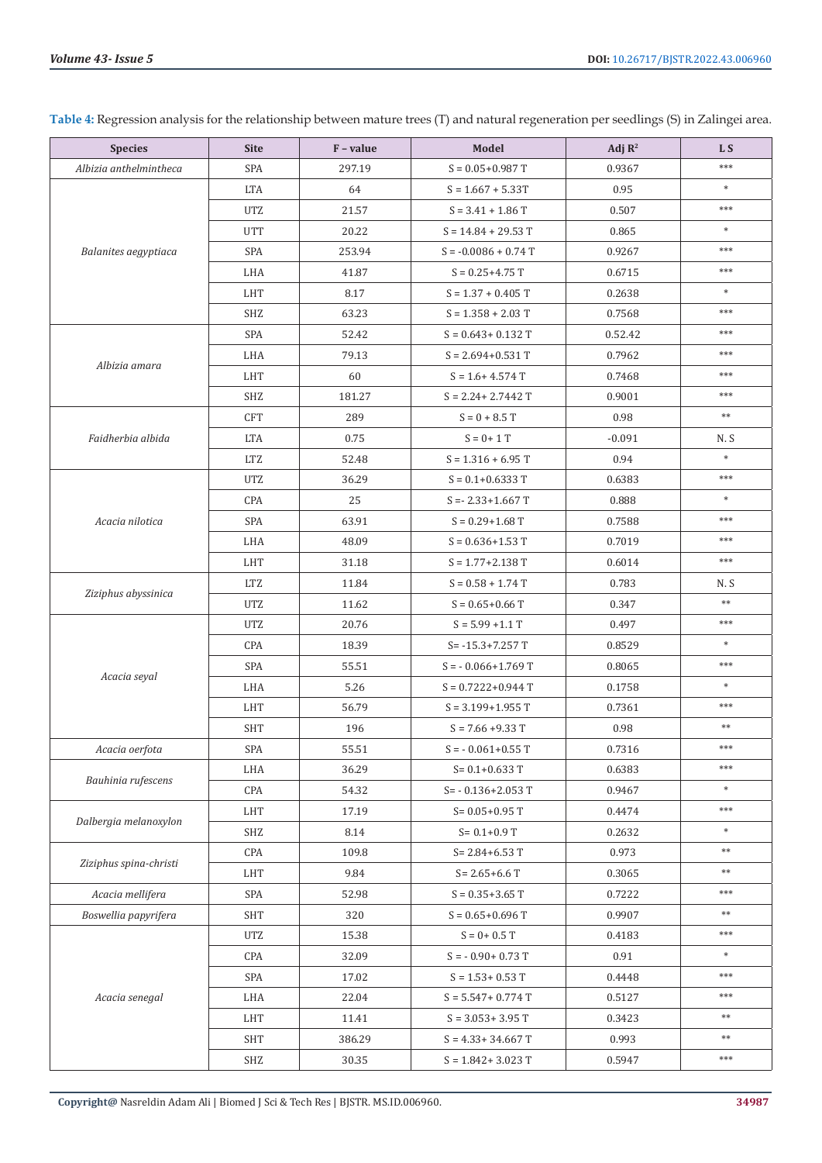| <b>Species</b>                                                                        | <b>Site</b> | F - value                                                                                                                                                                                                                                                                                                                                                                                                                                                                                                                                                                                                                                                                                                                                                                                                                                                                                                                                                                                                                                                    | <b>Model</b>                                                                                                                                                                                                                                                                                                                   | Adj $\mathbb{R}^2$                                                                                                                                                                                                           | L <sub>S</sub> |
|---------------------------------------------------------------------------------------|-------------|--------------------------------------------------------------------------------------------------------------------------------------------------------------------------------------------------------------------------------------------------------------------------------------------------------------------------------------------------------------------------------------------------------------------------------------------------------------------------------------------------------------------------------------------------------------------------------------------------------------------------------------------------------------------------------------------------------------------------------------------------------------------------------------------------------------------------------------------------------------------------------------------------------------------------------------------------------------------------------------------------------------------------------------------------------------|--------------------------------------------------------------------------------------------------------------------------------------------------------------------------------------------------------------------------------------------------------------------------------------------------------------------------------|------------------------------------------------------------------------------------------------------------------------------------------------------------------------------------------------------------------------------|----------------|
| Albizia anthelmintheca                                                                | SPA         | 297.19                                                                                                                                                                                                                                                                                                                                                                                                                                                                                                                                                                                                                                                                                                                                                                                                                                                                                                                                                                                                                                                       | $S = 0.05 + 0.987$ T                                                                                                                                                                                                                                                                                                           | 0.9367                                                                                                                                                                                                                       | ***            |
|                                                                                       | <b>LTA</b>  | 64                                                                                                                                                                                                                                                                                                                                                                                                                                                                                                                                                                                                                                                                                                                                                                                                                                                                                                                                                                                                                                                           | $S = 1.667 + 5.33T$                                                                                                                                                                                                                                                                                                            | 0.95                                                                                                                                                                                                                         | $\ast$         |
|                                                                                       | <b>UTZ</b>  | 21.57                                                                                                                                                                                                                                                                                                                                                                                                                                                                                                                                                                                                                                                                                                                                                                                                                                                                                                                                                                                                                                                        | $S = 3.41 + 1.86$ T                                                                                                                                                                                                                                                                                                            | 0.507                                                                                                                                                                                                                        | $***$          |
|                                                                                       | <b>UTT</b>  | 20.22                                                                                                                                                                                                                                                                                                                                                                                                                                                                                                                                                                                                                                                                                                                                                                                                                                                                                                                                                                                                                                                        | $S = 14.84 + 29.53$ T                                                                                                                                                                                                                                                                                                          | 0.865                                                                                                                                                                                                                        | $\ast$         |
| Balanites aegyptiaca                                                                  | SPA         | 253.94                                                                                                                                                                                                                                                                                                                                                                                                                                                                                                                                                                                                                                                                                                                                                                                                                                                                                                                                                                                                                                                       | $S = -0.0086 + 0.74 T$                                                                                                                                                                                                                                                                                                         | 0.9267                                                                                                                                                                                                                       | $***$          |
|                                                                                       | LHA         | 41.87                                                                                                                                                                                                                                                                                                                                                                                                                                                                                                                                                                                                                                                                                                                                                                                                                                                                                                                                                                                                                                                        | $S = 0.25 + 4.75$ T                                                                                                                                                                                                                                                                                                            | 0.6715                                                                                                                                                                                                                       | $***$          |
|                                                                                       | <b>LHT</b>  | 8.17                                                                                                                                                                                                                                                                                                                                                                                                                                                                                                                                                                                                                                                                                                                                                                                                                                                                                                                                                                                                                                                         | $S = 1.37 + 0.405$ T                                                                                                                                                                                                                                                                                                           | 0.2638                                                                                                                                                                                                                       | $\ast$         |
|                                                                                       | <b>SHZ</b>  | 63.23                                                                                                                                                                                                                                                                                                                                                                                                                                                                                                                                                                                                                                                                                                                                                                                                                                                                                                                                                                                                                                                        | $S = 1.358 + 2.03 T$                                                                                                                                                                                                                                                                                                           | 0.7568                                                                                                                                                                                                                       | ***            |
|                                                                                       | SPA         | 52.42                                                                                                                                                                                                                                                                                                                                                                                                                                                                                                                                                                                                                                                                                                                                                                                                                                                                                                                                                                                                                                                        | $S = 0.643 + 0.132$ T                                                                                                                                                                                                                                                                                                          | 0.52.42                                                                                                                                                                                                                      | $***$          |
| Albizia amara                                                                         | LHA         | 79.13                                                                                                                                                                                                                                                                                                                                                                                                                                                                                                                                                                                                                                                                                                                                                                                                                                                                                                                                                                                                                                                        | $S = 2.694 + 0.531$ T                                                                                                                                                                                                                                                                                                          | 0.7962                                                                                                                                                                                                                       | ***            |
|                                                                                       | <b>LHT</b>  | 60                                                                                                                                                                                                                                                                                                                                                                                                                                                                                                                                                                                                                                                                                                                                                                                                                                                                                                                                                                                                                                                           | $S = 1.6 + 4.574$ T                                                                                                                                                                                                                                                                                                            | 0.7468                                                                                                                                                                                                                       | ***            |
|                                                                                       | <b>SHZ</b>  | 181.27<br>$S = 2.24 + 2.7442$ T<br>289<br>$S = 0 + 8.5 T$<br>$S = 0 + 1T$<br>0.75<br>$S = 1.316 + 6.95 T$<br>52.48<br>36.29<br>$S = 0.1 + 0.6333$ T<br>25<br>$S = -2.33 + 1.667$ T<br>63.91<br>$S = 0.29 + 1.68$ T<br>$S = 0.636 + 1.53$ T<br>48.09<br>31.18<br>$S = 1.77 + 2.138$ T<br>11.84<br>$S = 0.58 + 1.74$ T<br>11.62<br>$S = 0.65 + 0.66$ T<br>20.76<br>$S = 5.99 + 1.1 T$<br>18.39<br>$S = -15.3 + 7.257$ T<br>55.51<br>$S = -0.066 + 1.769$ T<br>5.26<br>$S = 0.7222 + 0.944$ T<br>56.79<br>$S = 3.199 + 1.955$ T<br>196<br>$S = 7.66 + 9.33$ T<br>55.51<br>$S = -0.061 + 0.55$ T<br>36.29<br>$S = 0.1 + 0.633$ T<br>54.32<br>$S = -0.136 + 2.053$ T<br>17.19<br>$S = 0.05 + 0.95$ T<br>8.14<br>$S = 0.1 + 0.9$ T<br>109.8<br>$S = 2.84 + 6.53$ T<br>9.84<br>$S = 2.65 + 6.6$ T<br>52.98<br>$S = 0.35 + 3.65$ T<br>320<br>$S = 0.65 + 0.696$ T<br>15.38<br>$S = 0 + 0.5$ T<br>32.09<br>$S = -0.90 + 0.73$ T<br>17.02<br>$S = 1.53 + 0.53$ T<br>22.04<br>$S = 5.547 + 0.774$ T<br>11.41<br>$S = 3.053 + 3.95$ T<br>386.29<br>$S = 4.33 + 34.667$ T | 0.9001                                                                                                                                                                                                                                                                                                                         | ***                                                                                                                                                                                                                          |                |
|                                                                                       | <b>CFT</b>  |                                                                                                                                                                                                                                                                                                                                                                                                                                                                                                                                                                                                                                                                                                                                                                                                                                                                                                                                                                                                                                                              |                                                                                                                                                                                                                                                                                                                                | 0.98                                                                                                                                                                                                                         | $\ast\ast$     |
| Faidherbia albida                                                                     | <b>LTA</b>  |                                                                                                                                                                                                                                                                                                                                                                                                                                                                                                                                                                                                                                                                                                                                                                                                                                                                                                                                                                                                                                                              |                                                                                                                                                                                                                                                                                                                                | $-0.091$                                                                                                                                                                                                                     | N.S            |
|                                                                                       | <b>LTZ</b>  |                                                                                                                                                                                                                                                                                                                                                                                                                                                                                                                                                                                                                                                                                                                                                                                                                                                                                                                                                                                                                                                              | 0.94<br>0.6383<br>0.888<br>0.7588<br>0.7019<br>0.6014<br>0.783<br>0.347<br>0.497<br>0.8529<br>0.8065<br>0.1758<br>0.7361<br>0.98<br>0.7316<br>0.6383<br>0.9467<br>0.4474<br>0.2632<br>0.973<br>0.3065<br>0.7222<br>0.9907<br>0.4183<br>0.91<br>0.4448<br>0.5127<br>0.3423<br>0.993<br>30.35<br>$S = 1.842 + 3.023$ T<br>0.5947 |                                                                                                                                                                                                                              | $\ast$         |
|                                                                                       | <b>UTZ</b>  |                                                                                                                                                                                                                                                                                                                                                                                                                                                                                                                                                                                                                                                                                                                                                                                                                                                                                                                                                                                                                                                              |                                                                                                                                                                                                                                                                                                                                |                                                                                                                                                                                                                              | ***            |
|                                                                                       | CPA         |                                                                                                                                                                                                                                                                                                                                                                                                                                                                                                                                                                                                                                                                                                                                                                                                                                                                                                                                                                                                                                                              |                                                                                                                                                                                                                                                                                                                                |                                                                                                                                                                                                                              | $\ast$         |
| Acacia nilotica                                                                       | SPA         |                                                                                                                                                                                                                                                                                                                                                                                                                                                                                                                                                                                                                                                                                                                                                                                                                                                                                                                                                                                                                                                              |                                                                                                                                                                                                                                                                                                                                |                                                                                                                                                                                                                              | ***            |
|                                                                                       | LHA         |                                                                                                                                                                                                                                                                                                                                                                                                                                                                                                                                                                                                                                                                                                                                                                                                                                                                                                                                                                                                                                                              |                                                                                                                                                                                                                                                                                                                                |                                                                                                                                                                                                                              | ***            |
|                                                                                       | <b>LHT</b>  |                                                                                                                                                                                                                                                                                                                                                                                                                                                                                                                                                                                                                                                                                                                                                                                                                                                                                                                                                                                                                                                              |                                                                                                                                                                                                                                                                                                                                | $***$<br>N.S<br>$\ast\ast$<br>$***$<br>$\ast$<br>$***$<br>$\ast$<br>$***$<br>$**$<br>***<br>$***$<br>$\ast$<br>***<br>$\ast$<br>$\ast\ast$<br>$\ast\ast$<br>***<br>$\ast\ast$<br>***<br>$\ast$<br>***<br>$***$<br>$\ast\ast$ |                |
| Ziziphus abyssinica                                                                   | <b>LTZ</b>  |                                                                                                                                                                                                                                                                                                                                                                                                                                                                                                                                                                                                                                                                                                                                                                                                                                                                                                                                                                                                                                                              |                                                                                                                                                                                                                                                                                                                                |                                                                                                                                                                                                                              |                |
|                                                                                       | <b>UTZ</b>  |                                                                                                                                                                                                                                                                                                                                                                                                                                                                                                                                                                                                                                                                                                                                                                                                                                                                                                                                                                                                                                                              |                                                                                                                                                                                                                                                                                                                                |                                                                                                                                                                                                                              |                |
|                                                                                       | <b>UTZ</b>  |                                                                                                                                                                                                                                                                                                                                                                                                                                                                                                                                                                                                                                                                                                                                                                                                                                                                                                                                                                                                                                                              |                                                                                                                                                                                                                                                                                                                                |                                                                                                                                                                                                                              |                |
|                                                                                       | CPA         |                                                                                                                                                                                                                                                                                                                                                                                                                                                                                                                                                                                                                                                                                                                                                                                                                                                                                                                                                                                                                                                              |                                                                                                                                                                                                                                                                                                                                |                                                                                                                                                                                                                              |                |
|                                                                                       | SPA         |                                                                                                                                                                                                                                                                                                                                                                                                                                                                                                                                                                                                                                                                                                                                                                                                                                                                                                                                                                                                                                                              |                                                                                                                                                                                                                                                                                                                                |                                                                                                                                                                                                                              |                |
|                                                                                       | LHA         |                                                                                                                                                                                                                                                                                                                                                                                                                                                                                                                                                                                                                                                                                                                                                                                                                                                                                                                                                                                                                                                              |                                                                                                                                                                                                                                                                                                                                |                                                                                                                                                                                                                              |                |
|                                                                                       | <b>LHT</b>  |                                                                                                                                                                                                                                                                                                                                                                                                                                                                                                                                                                                                                                                                                                                                                                                                                                                                                                                                                                                                                                                              |                                                                                                                                                                                                                                                                                                                                |                                                                                                                                                                                                                              |                |
|                                                                                       | <b>SHT</b>  |                                                                                                                                                                                                                                                                                                                                                                                                                                                                                                                                                                                                                                                                                                                                                                                                                                                                                                                                                                                                                                                              |                                                                                                                                                                                                                                                                                                                                |                                                                                                                                                                                                                              |                |
| Acacia oerfota                                                                        | SPA         |                                                                                                                                                                                                                                                                                                                                                                                                                                                                                                                                                                                                                                                                                                                                                                                                                                                                                                                                                                                                                                                              |                                                                                                                                                                                                                                                                                                                                |                                                                                                                                                                                                                              |                |
|                                                                                       | LHA         |                                                                                                                                                                                                                                                                                                                                                                                                                                                                                                                                                                                                                                                                                                                                                                                                                                                                                                                                                                                                                                                              |                                                                                                                                                                                                                                                                                                                                |                                                                                                                                                                                                                              |                |
|                                                                                       | CPA         |                                                                                                                                                                                                                                                                                                                                                                                                                                                                                                                                                                                                                                                                                                                                                                                                                                                                                                                                                                                                                                                              |                                                                                                                                                                                                                                                                                                                                |                                                                                                                                                                                                                              |                |
|                                                                                       | <b>LHT</b>  |                                                                                                                                                                                                                                                                                                                                                                                                                                                                                                                                                                                                                                                                                                                                                                                                                                                                                                                                                                                                                                                              |                                                                                                                                                                                                                                                                                                                                |                                                                                                                                                                                                                              |                |
|                                                                                       | SHZ         |                                                                                                                                                                                                                                                                                                                                                                                                                                                                                                                                                                                                                                                                                                                                                                                                                                                                                                                                                                                                                                                              |                                                                                                                                                                                                                                                                                                                                |                                                                                                                                                                                                                              |                |
|                                                                                       | CPA         |                                                                                                                                                                                                                                                                                                                                                                                                                                                                                                                                                                                                                                                                                                                                                                                                                                                                                                                                                                                                                                                              |                                                                                                                                                                                                                                                                                                                                |                                                                                                                                                                                                                              |                |
|                                                                                       | <b>LHT</b>  |                                                                                                                                                                                                                                                                                                                                                                                                                                                                                                                                                                                                                                                                                                                                                                                                                                                                                                                                                                                                                                                              |                                                                                                                                                                                                                                                                                                                                |                                                                                                                                                                                                                              |                |
| Acacia mellifera                                                                      | SPA         |                                                                                                                                                                                                                                                                                                                                                                                                                                                                                                                                                                                                                                                                                                                                                                                                                                                                                                                                                                                                                                                              |                                                                                                                                                                                                                                                                                                                                |                                                                                                                                                                                                                              |                |
| Boswellia papyrifera                                                                  | <b>SHT</b>  |                                                                                                                                                                                                                                                                                                                                                                                                                                                                                                                                                                                                                                                                                                                                                                                                                                                                                                                                                                                                                                                              |                                                                                                                                                                                                                                                                                                                                |                                                                                                                                                                                                                              |                |
|                                                                                       | <b>UTZ</b>  |                                                                                                                                                                                                                                                                                                                                                                                                                                                                                                                                                                                                                                                                                                                                                                                                                                                                                                                                                                                                                                                              |                                                                                                                                                                                                                                                                                                                                |                                                                                                                                                                                                                              |                |
|                                                                                       | CPA         |                                                                                                                                                                                                                                                                                                                                                                                                                                                                                                                                                                                                                                                                                                                                                                                                                                                                                                                                                                                                                                                              |                                                                                                                                                                                                                                                                                                                                |                                                                                                                                                                                                                              |                |
|                                                                                       | SPA         |                                                                                                                                                                                                                                                                                                                                                                                                                                                                                                                                                                                                                                                                                                                                                                                                                                                                                                                                                                                                                                                              |                                                                                                                                                                                                                                                                                                                                |                                                                                                                                                                                                                              |                |
| Acacia senegal                                                                        | LHA         |                                                                                                                                                                                                                                                                                                                                                                                                                                                                                                                                                                                                                                                                                                                                                                                                                                                                                                                                                                                                                                                              |                                                                                                                                                                                                                                                                                                                                |                                                                                                                                                                                                                              |                |
|                                                                                       | <b>LHT</b>  |                                                                                                                                                                                                                                                                                                                                                                                                                                                                                                                                                                                                                                                                                                                                                                                                                                                                                                                                                                                                                                                              |                                                                                                                                                                                                                                                                                                                                |                                                                                                                                                                                                                              |                |
|                                                                                       | <b>SHT</b>  |                                                                                                                                                                                                                                                                                                                                                                                                                                                                                                                                                                                                                                                                                                                                                                                                                                                                                                                                                                                                                                                              |                                                                                                                                                                                                                                                                                                                                |                                                                                                                                                                                                                              | $**$           |
| Acacia seyal<br>Bauhinia rufescens<br>Dalbergia melanoxylon<br>Ziziphus spina-christi | SHZ         |                                                                                                                                                                                                                                                                                                                                                                                                                                                                                                                                                                                                                                                                                                                                                                                                                                                                                                                                                                                                                                                              |                                                                                                                                                                                                                                                                                                                                |                                                                                                                                                                                                                              | $***$          |

**Table 4:** Regression analysis for the relationship between mature trees (T) and natural regeneration per seedlings (S) in Zalingei area.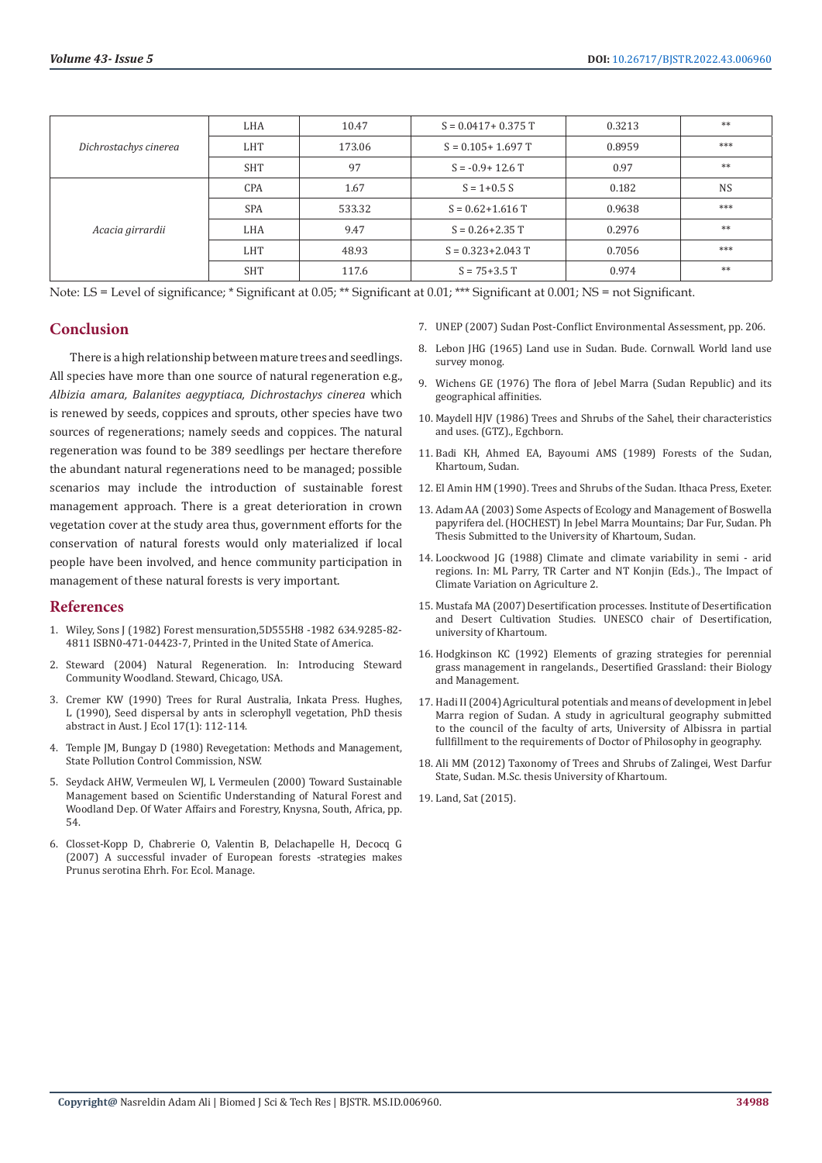|                       | LHA                 | 10.47  | $S = 0.0417 + 0.375$ T                                                                                                                                                                     | 0.3213 | **        |
|-----------------------|---------------------|--------|--------------------------------------------------------------------------------------------------------------------------------------------------------------------------------------------|--------|-----------|
| Dichrostachys cinerea | LHT                 | 173.06 | $S = 0.105 + 1.697$ T                                                                                                                                                                      | 0.8959 | ***       |
|                       | <b>SHT</b>          | 97     | 0.97<br>$S = -0.9 + 12.6$ T<br>$S = 1 + 0.5 S$<br>0.182<br>0.9638<br>$S = 0.62 + 1.616$ T<br>$S = 0.26 + 2.35$ T<br>0.2976<br>$S = 0.323 + 2.043$ T<br>0.7056<br>$S = 75 + 3.5$ T<br>0.974 |        | **        |
| Acacia girrardii      | <b>CPA</b>          | 1.67   |                                                                                                                                                                                            |        | <b>NS</b> |
|                       | <b>SPA</b>          | 533.32 |                                                                                                                                                                                            |        | ***       |
|                       | LHA                 | 9.47   |                                                                                                                                                                                            |        | **        |
|                       | <b>LHT</b><br>48.93 |        |                                                                                                                                                                                            |        | ***       |
|                       | <b>SHT</b>          | 117.6  |                                                                                                                                                                                            |        | **        |

Note: LS = Level of significance; \* Significant at 0.05; \*\* Significant at 0.01; \*\*\* Significant at 0.001; NS = not Significant.

#### **Conclusion**

There is a high relationship between mature trees and seedlings. All species have more than one source of natural regeneration e.g., *Albizia amara, Balanites aegyptiaca, Dichrostachys cinerea* which is renewed by seeds, coppices and sprouts, other species have two sources of regenerations; namely seeds and coppices. The natural regeneration was found to be 389 seedlings per hectare therefore the abundant natural regenerations need to be managed; possible scenarios may include the introduction of sustainable forest management approach. There is a great deterioration in crown vegetation cover at the study area thus, government efforts for the conservation of natural forests would only materialized if local people have been involved, and hence community participation in management of these natural forests is very important.

#### **References**

- 1. Wiley, Sons J (1982) Forest mensuration,5D555H8 -1982 634.9285-82- 4811 ISBN0-471-04423-7, Printed in the United State of America.
- 2. Steward (2004) Natural Regeneration. In: Introducing Steward Community Woodland. Steward, Chicago, USA.
- 3. Cremer KW (1990) Trees for Rural Australia, Inkata Press. Hughes, L (1990), Seed dispersal by ants in sclerophyll vegetation, PhD thesis abstract in Aust. J Ecol 17(1): 112-114.
- 4. Temple JM, Bungay D (1980) Revegetation: Methods and Management, State Pollution Control Commission, NSW.
- 5. Seydack AHW, Vermeulen WJ, L Vermeulen (2000) Toward Sustainable Management based on Scientific Understanding of Natural Forest and Woodland Dep. Of Water Affairs and Forestry, Knysna, South, Africa, pp. 54.
- 6. Closset-Kopp D, Chabrerie O, Valentin B, Delachapelle H, Decocq G (2007) A successful invader of European forests -strategies makes Prunus serotina Ehrh. For. Ecol. Manage.
- 7. UNEP (2007) Sudan Post-Conflict Environmental Assessment, pp. 206.
- 8. Lebon JHG (1965) Land use in Sudan. Bude. Cornwall. World land use survey monog.
- 9. Wichens GE (1976) The flora of Jebel Marra (Sudan Republic) and its geographical affinities.
- 10. Maydell HJV (1986) Trees and Shrubs of the Sahel, their characteristics and uses. (GTZ)., Egchborn.
- 11. Badi KH, Ahmed EA, Bayoumi AMS (1989) Forests of the Sudan, Khartoum, Sudan.
- 12. El Amin HM (1990). Trees and Shrubs of the Sudan. Ithaca Press, Exeter.
- 13. Adam AA (2003) Some Aspects of Ecology and Management of Boswella papyrifera del. (HOCHEST) In Jebel Marra Mountains; Dar Fur, Sudan. Ph Thesis Submitted to the University of Khartoum, Sudan.
- 14. Loockwood JG (1988) Climate and climate variability in semi arid regions. In: ML Parry, TR Carter and NT Konjin (Eds.)., The Impact of Climate Variation on Agriculture 2.
- 15. Mustafa MA (2007) Desertification processes. Institute of Desertification and Desert Cultivation Studies. UNESCO chair of Desertification, university of Khartoum.
- 16. Hodgkinson KC (1992) Elements of grazing strategies for perennial grass management in rangelands., Desertified Grassland: their Biology and Management.
- 17. Hadi II (2004) Agricultural potentials and means of development in Jebel Marra region of Sudan. A study in agricultural geography submitted to the council of the faculty of arts, University of Albissra in partial fullfillment to the requirements of Doctor of Philosophy in geography.
- 18. Ali MM (2012) Taxonomy of Trees and Shrubs of Zalingei, West Darfur State, Sudan. M.Sc. thesis University of Khartoum.

19. [Land, Sat \(2015\).](https://geog.umd.edu/feature/global-land-cover-facility-%28glcf%29)